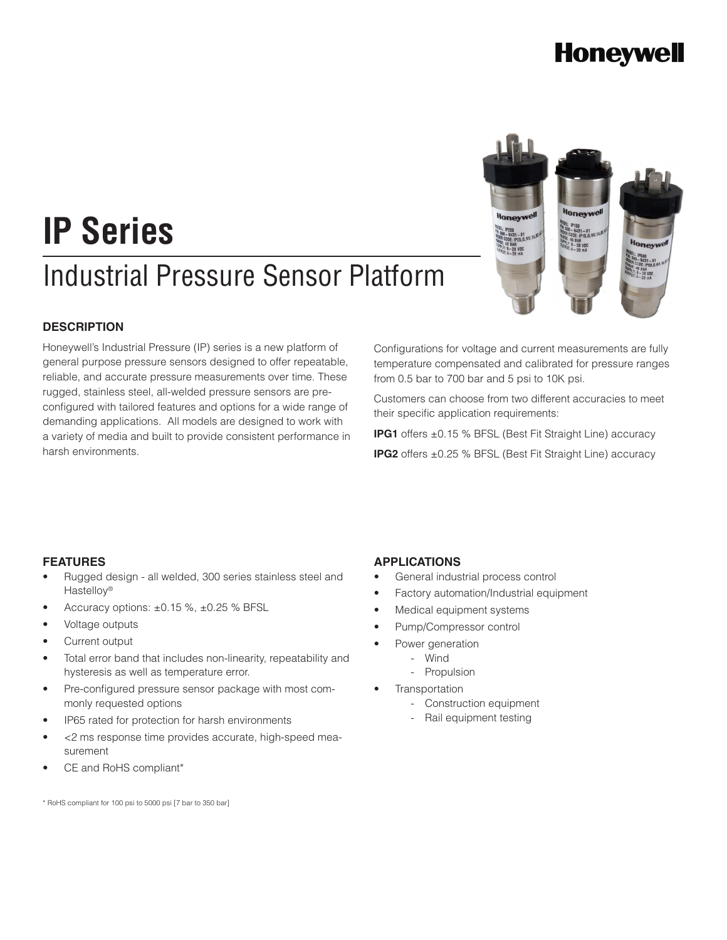### **Honeywell**

# Industrial Pressure Sensor Platform **IP Series**



Honeywell's Industrial Pressure (IP) series is a new platform of general purpose pressure sensors designed to offer repeatable, reliable, and accurate pressure measurements over time. These rugged, stainless steel, all-welded pressure sensors are preconfigured with tailored features and options for a wide range of demanding applications. All models are designed to work with a variety of media and built to provide consistent performance in harsh environments.

Configurations for voltage and current measurements are fully temperature compensated and calibrated for pressure ranges from 0.5 bar to 700 bar and 5 psi to 10K psi.

Customers can choose from two different accuracies to meet their specific application requirements:

**IPG1** offers ±0.15 % BFSL (Best Fit Straight Line) accuracy **IPG2** offers ±0.25 % BFSL (Best Fit Straight Line) accuracy

### **FEATURES**

- Rugged design all welded, 300 series stainless steel and Hastelloy®
- Accuracy options:  $\pm 0.15$  %,  $\pm 0.25$  % BFSL
- Voltage outputs
- Current output
- Total error band that includes non-linearity, repeatability and hysteresis as well as temperature error.
- Pre-configured pressure sensor package with most commonly requested options
- IP65 rated for protection for harsh environments
- <2 ms response time provides accurate, high-speed measurement
- CE and RoHS compliant\*

**APPLICATIONS**

- General industrial process control
- Factory automation/Industrial equipment
- Medical equipment systems
- Pump/Compressor control
	- Power generation
	- Wind
		- Propulsion
- **Transportation** 
	- Construction equipment
	- Rail equipment testing

\* RoHS compliant for 100 psi to 5000 psi [7 bar to 350 bar]

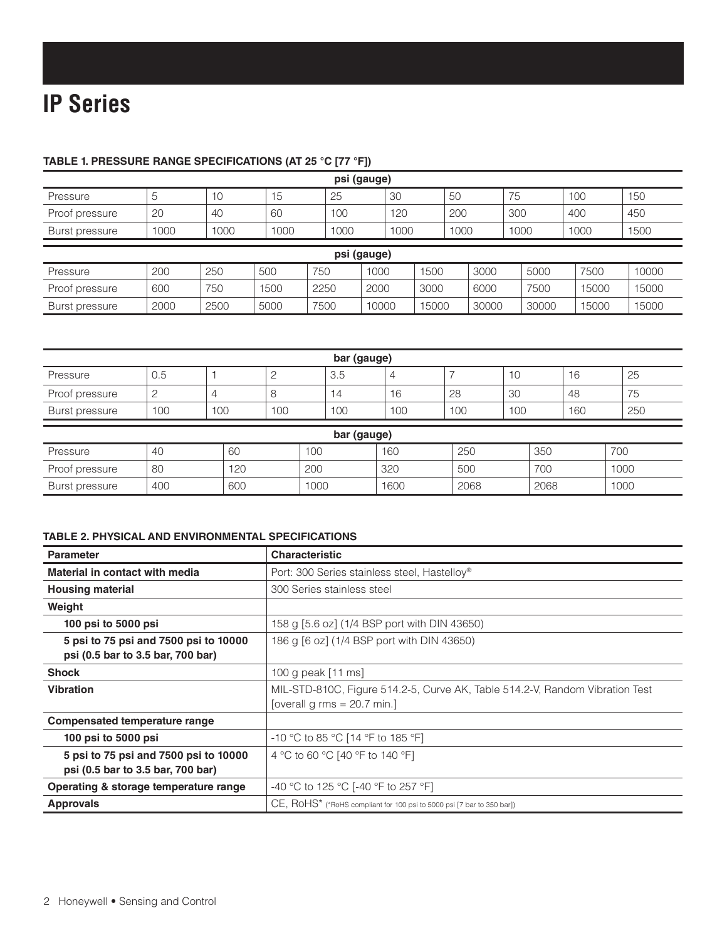### **TABLE 1. PRESSURE RANGE SPECIFICATIONS (AT 25 °C [77 °F])**

| psi (gauge)    |      |      |      |      |       |      |       |      |       |       |       |       |
|----------------|------|------|------|------|-------|------|-------|------|-------|-------|-------|-------|
| Pressure       | 5    | 10   | 15   | 25   |       | 30   |       | 50   |       | 75    | 100   | 150   |
| Proof pressure | 20   | 40   | 60   | 100  |       | 120  |       | 200  |       | 300   | 400   | 450   |
| Burst pressure | 1000 | 1000 | 1000 | 1000 |       | 1000 |       | 1000 |       | 1000  | 1000  | 1500  |
| psi (gauge)    |      |      |      |      |       |      |       |      |       |       |       |       |
| Pressure       | 200  | 250  | 500  | 750  | 1000  |      | 1500  |      | 3000  | 5000  | 7500  | 10000 |
| Proof pressure | 600  | 750  | 1500 | 2250 | 2000  |      | 3000  |      | 6000  | 7500  | 15000 | 15000 |
| Burst pressure | 2000 | 2500 | 5000 | 7500 | 10000 |      | 15000 |      | 30000 | 30000 | 15000 | 15000 |

| bar (gauge)    |     |     |     |     |     |     |     |     |                                |
|----------------|-----|-----|-----|-----|-----|-----|-----|-----|--------------------------------|
| Pressure       | U.5 |     |     | 3.5 |     |     | 10  | 16  | 25                             |
| Proof pressure |     |     |     | 4   | 16  | 28  | 30  | 48  | $\overline{\phantom{a}}$<br>75 |
| Burst pressure | 100 | 100 | 100 | 100 | 100 | 100 | 100 | 160 | 250                            |
|                |     |     |     |     |     |     |     |     |                                |

| bar (gauge)    |     |     |      |      |      |      |      |
|----------------|-----|-----|------|------|------|------|------|
| Pressure       | 40  | 60  | 100  | 160  | 250  | 350  | 700  |
| Proof pressure | 80  | 120 | 200  | 320  | 500  | 700  | 1000 |
| Burst pressure | 400 | 600 | 1000 | 1600 | 2068 | 2068 | 1000 |

### **TABLE 2. PHYSICAL AND ENVIRONMENTAL SPECIFICATIONS**

| <b>Parameter</b>                      | <b>Characteristic</b>                                                        |
|---------------------------------------|------------------------------------------------------------------------------|
| Material in contact with media        | Port: 300 Series stainless steel, Hastelloy®                                 |
| <b>Housing material</b>               | 300 Series stainless steel                                                   |
| Weight                                |                                                                              |
| 100 psi to 5000 psi                   | 158 g [5.6 oz] (1/4 BSP port with DIN 43650)                                 |
| 5 psi to 75 psi and 7500 psi to 10000 | 186 g [6 oz] (1/4 BSP port with DIN 43650)                                   |
| psi (0.5 bar to 3.5 bar, 700 bar)     |                                                                              |
| <b>Shock</b>                          | 100 g peak $[11$ ms                                                          |
| <b>Vibration</b>                      | MIL-STD-810C, Figure 514.2-5, Curve AK, Table 514.2-V, Random Vibration Test |
|                                       | [overall g rms = $20.7$ min.]                                                |
| Compensated temperature range         |                                                                              |
| 100 psi to 5000 psi                   | -10 °C to 85 °C [14 °F to 185 °F]                                            |
| 5 psi to 75 psi and 7500 psi to 10000 | 4 °C to 60 °C [40 °F to 140 °F]                                              |
| psi (0.5 bar to 3.5 bar, 700 bar)     |                                                                              |
| Operating & storage temperature range | -40 °C to 125 °C [-40 °F to 257 °F]                                          |
| <b>Approvals</b>                      | CE, ROHS* (*RoHS compliant for 100 psi to 5000 psi [7 bar to 350 bar])       |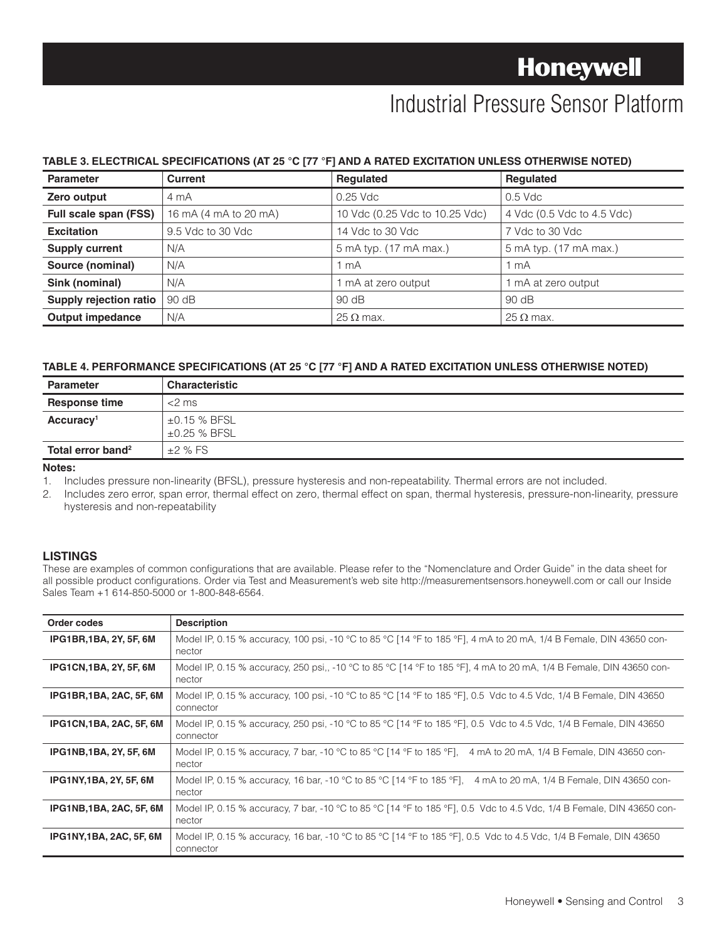### Industrial Pressure Sensor Platform

### **TABLE 3. ELECTRICAL SPECIFICATIONS (AT 25 °C [77 °F] AND A RATED EXCITATION UNLESS OTHERWISE NOTED)**

| <b>Parameter</b>              | Current               | <b>Requlated</b>               | <b>Requlated</b>           |
|-------------------------------|-----------------------|--------------------------------|----------------------------|
| Zero output                   | 4 mA                  | $0.25$ Vdc                     | $0.5$ Vdc                  |
| Full scale span (FSS)         | 16 mA (4 mA to 20 mA) | 10 Vdc (0.25 Vdc to 10.25 Vdc) | 4 Vdc (0.5 Vdc to 4.5 Vdc) |
| <b>Excitation</b>             | 9.5 Vdc to 30 Vdc     | 14 Vdc to 30 Vdc               | 7 Vdc to 30 Vdc            |
| <b>Supply current</b>         | N/A                   | 5 mA typ. (17 mA max.)         | 5 mA typ. (17 mA max.)     |
| Source (nominal)              | N/A                   | l mA                           | 1 mA                       |
| Sink (nominal)                | N/A                   | 1 mA at zero output            | 1 mA at zero output        |
| <b>Supply rejection ratio</b> | 90 dB                 | 90 dB                          | 90 dB                      |
| <b>Output impedance</b>       | N/A                   | $25 \Omega$ max.               | $25 \Omega$ max.           |

#### **TABLE 4. PERFORMANCE SPECIFICATIONS (AT 25 °C [77 °F] AND A RATED EXCITATION UNLESS OTHERWISE NOTED)**

| <b>Parameter</b>              | <b>Characteristic</b>                  |
|-------------------------------|----------------------------------------|
| <b>Response time</b>          | $<$ 2 ms                               |
| Accuracy <sup>1</sup>         | $\pm 0.15$ % BFSL<br>$\pm 0.25$ % BFSL |
| Total error band <sup>2</sup> | $\pm 2$ % FS                           |

#### **Notes:**

1. Includes pressure non-linearity (BFSL), pressure hysteresis and non-repeatability. Thermal errors are not included.

2. Includes zero error, span error, thermal effect on zero, thermal effect on span, thermal hysteresis, pressure-non-linearity, pressure hysteresis and non-repeatability

#### **LISTINGS**

These are examples of common configurations that are available. Please refer to the "Nomenclature and Order Guide" in the data sheet for all possible product configurations. Order via Test and Measurement's web site http://measurementsensors.honeywell.com or call our Inside Sales Team +1 614-850-5000 or 1-800-848-6564.

| Order codes                    | <b>Description</b>                                                                                                              |
|--------------------------------|---------------------------------------------------------------------------------------------------------------------------------|
| <b>IPG1BR,1BA, 2Y, 5F, 6M</b>  | Model IP, 0.15 % accuracy, 100 psi, -10 °C to 85 °C [14 °F to 185 °F], 4 mA to 20 mA, 1/4 B Female, DIN 43650 con-<br>nector    |
| <b>IPG1CN,1BA, 2Y, 5F, 6M</b>  | Model IP, 0.15 % accuracy, 250 psi,, -10 °C to 85 °C [14 °F to 185 °F], 4 mA to 20 mA, 1/4 B Female, DIN 43650 con-<br>nector   |
| <b>IPG1BR,1BA, 2AC, 5F, 6M</b> | Model IP, 0.15 % accuracy, 100 psi, -10 °C to 85 °C [14 °F to 185 °F], 0.5 Vdc to 4.5 Vdc, 1/4 B Female, DIN 43650<br>connector |
| <b>IPG1CN,1BA, 2AC, 5F, 6M</b> | Model IP, 0.15 % accuracy, 250 psi, -10 °C to 85 °C [14 °F to 185 °F], 0.5 Vdc to 4.5 Vdc, 1/4 B Female, DIN 43650<br>connector |
| <b>IPG1NB,1BA, 2Y, 5F, 6M</b>  | Model IP, 0.15 % accuracy, 7 bar, -10 °C to 85 °C [14 °F to 185 °F], 4 mA to 20 mA, 1/4 B Female, DIN 43650 con-<br>nector      |
| <b>IPG1NY,1BA, 2Y, 5F, 6M</b>  | Model IP, 0.15 % accuracy, 16 bar, -10 °C to 85 °C [14 °F to 185 °F], 4 mA to 20 mA, 1/4 B Female, DIN 43650 con-<br>nector     |
| <b>IPG1NB,1BA, 2AC, 5F, 6M</b> | Model IP, 0.15 % accuracy, 7 bar, -10 °C to 85 °C [14 °F to 185 °F], 0.5 Vdc to 4.5 Vdc, 1/4 B Female, DIN 43650 con-<br>nector |
| <b>IPG1NY,1BA, 2AC, 5F, 6M</b> | Model IP, 0.15 % accuracy, 16 bar, -10 °C to 85 °C [14 °F to 185 °F], 0.5 Vdc to 4.5 Vdc, 1/4 B Female, DIN 43650<br>connector  |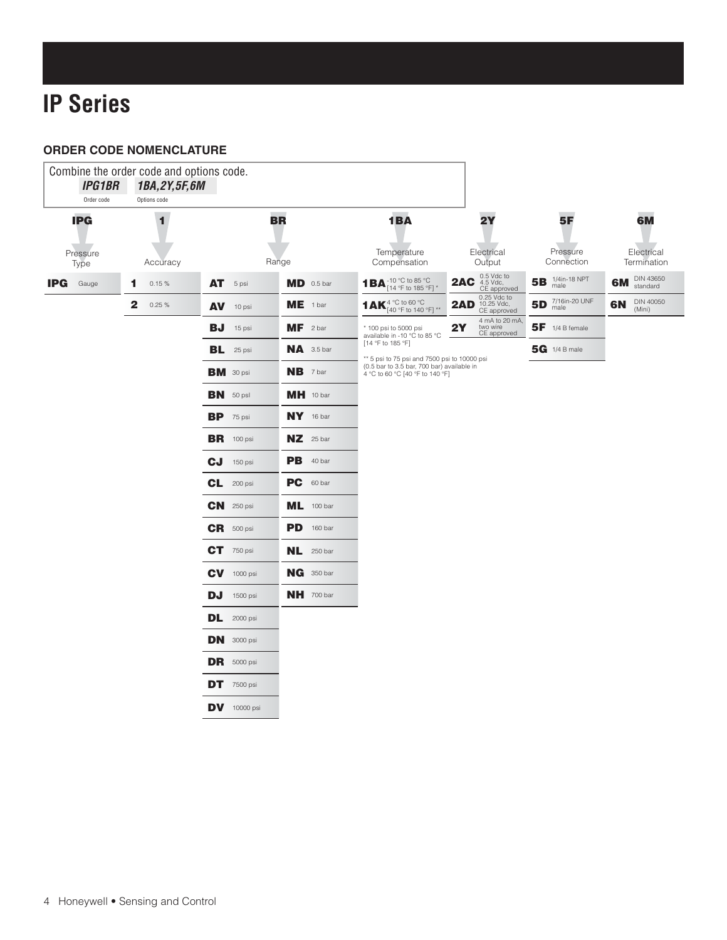## **IP Series**

### **ORDER CODE NOMENCLATURE**

| <b>IPG1BR</b><br>Order code    | 1BA, 2Y, 5F, 6M<br>Options code |                |                   |                                                                                                                                                    |                                                                      |                                                              |                                 |
|--------------------------------|---------------------------------|----------------|-------------------|----------------------------------------------------------------------------------------------------------------------------------------------------|----------------------------------------------------------------------|--------------------------------------------------------------|---------------------------------|
| <b>IPG</b><br>Pressure<br>Type | 1<br>Accuracy                   | <b>BR</b>      | Range             | 1BA<br>Temperature<br>Compensation                                                                                                                 | 2Y<br>Electrical<br>Output                                           | <b>5F</b><br>Pressure<br>Connection                          | 6M<br>Electrical<br>Termination |
| <b>IPG</b> Gauge               | 0.15%<br>1                      | AT 5 psi       | MD 0.5 bar        | 1 BA <sup>-10</sup> °C to 85 °C<br>[14 °F to 185 °F]                                                                                               | <b>2AC</b> $^{0.5 \text{ Vdc to}}_{4.5 \text{ Vdc,}}$<br>CE approved | 5B $^{1/4$ in-18 NPT                                         | DIN 43650<br><b>6M</b> standard |
|                                | $\mathbf{2}$<br>0.25%           | $AV$ 10 psi    | $ME$ 1 bar        | 1 AK <sup>4</sup> °C to 60 °C<br>[40 °F to 140 °F]                                                                                                 | 0.25 Vdc to<br>10.25 Vdc,<br>CE approved<br>2AD                      | 5D $\frac{7/16 \text{in} \cdot 20 \text{ UNF}}{\text{male}}$ | DIN 40050<br>6N<br>(Mini)       |
|                                |                                 | $BJ$ 15 psi    | $MF$ 2 bar        | * 100 psi to 5000 psi<br>available in -10 °C to 85 °C                                                                                              | 4 mA to 20 mA,<br>2Y<br>two wire<br>CE approved                      | $5F$ 1/4 B female                                            |                                 |
|                                |                                 | $BL$ 25 psi    | $NA$ 3.5 bar      | [14 °F to 185 °F]<br>** 5 psi to 75 psi and 7500 psi to 10000 psi<br>(0.5 bar to 3.5 bar, 700 bar) available in<br>4 °C to 60 °C [40 °F to 140 °F] |                                                                      | <b>5G</b> 1/4 B male                                         |                                 |
|                                |                                 | BM 30 psi      | <b>NB</b> 7 bar   |                                                                                                                                                    |                                                                      |                                                              |                                 |
|                                |                                 | $BN$ 50 psl    | MH 10 bar         |                                                                                                                                                    |                                                                      |                                                              |                                 |
|                                |                                 | $BP$ 75 psi    | NY 16 bar         |                                                                                                                                                    |                                                                      |                                                              |                                 |
|                                |                                 | $BR$ 100 psi   | $NZ$ 25 bar       |                                                                                                                                                    |                                                                      |                                                              |                                 |
|                                |                                 | cJ<br>150 psi  | PB 40 bar         |                                                                                                                                                    |                                                                      |                                                              |                                 |
|                                |                                 | $CL$ 200 psi   | PC 60 bar         |                                                                                                                                                    |                                                                      |                                                              |                                 |
|                                |                                 | $CN$ 250 psi   | ML 100 bar        |                                                                                                                                                    |                                                                      |                                                              |                                 |
|                                |                                 | $CR$ 500 psi   | <b>PD</b> 160 bar |                                                                                                                                                    |                                                                      |                                                              |                                 |
|                                |                                 | $CT$ 750 psi   | $NL$ 250 bar      |                                                                                                                                                    |                                                                      |                                                              |                                 |
|                                |                                 | $CV$ 1000 psi  | NG 350 bar        |                                                                                                                                                    |                                                                      |                                                              |                                 |
|                                |                                 | $DJ$ 1500 psi  | <b>NH</b> 700 bar |                                                                                                                                                    |                                                                      |                                                              |                                 |
|                                |                                 | $DL$ 2000 psi  |                   |                                                                                                                                                    |                                                                      |                                                              |                                 |
|                                |                                 | $DN$ 3000 psi  |                   |                                                                                                                                                    |                                                                      |                                                              |                                 |
|                                |                                 | $DR$ 5000 psi  |                   |                                                                                                                                                    |                                                                      |                                                              |                                 |
|                                |                                 | $DT$ 7500 psi  |                   |                                                                                                                                                    |                                                                      |                                                              |                                 |
|                                |                                 | $DV$ 10000 psi |                   |                                                                                                                                                    |                                                                      |                                                              |                                 |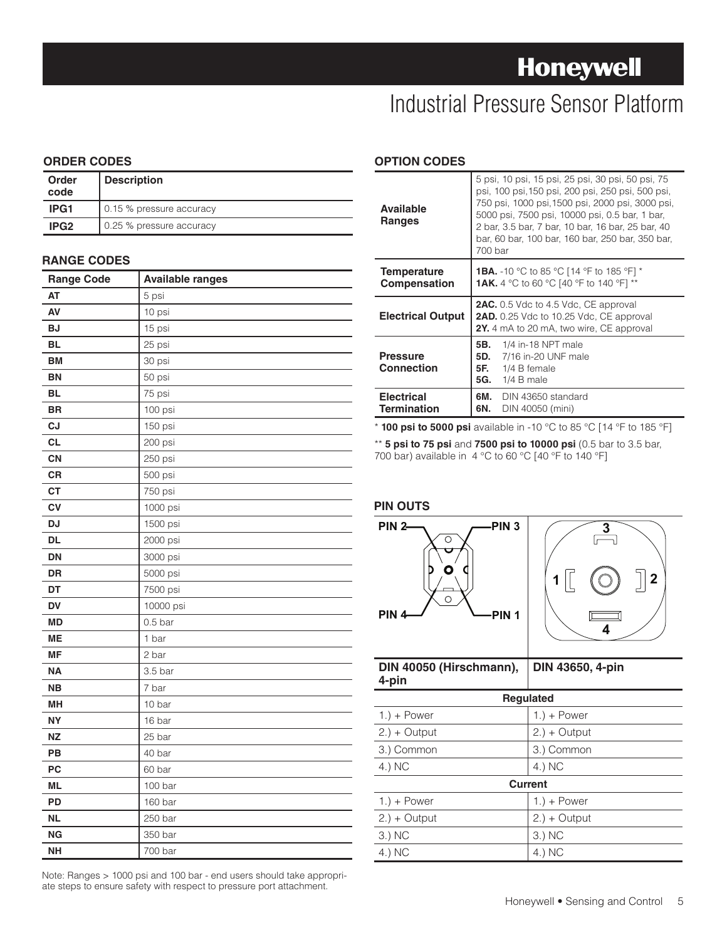### **Honeywell**

### Industrial Pressure Sensor Platform

#### **ORDER CODES**

| Order<br>code    | <b>Description</b>       |
|------------------|--------------------------|
| IPG1             | 0.15 % pressure accuracy |
| IPG <sub>2</sub> | 0.25 % pressure accuracy |

#### **RANGE CODES**

| <b>Range Code</b> | <b>Available ranges</b> |
|-------------------|-------------------------|
| <b>AT</b>         | 5 psi                   |
| AV                | 10 psi                  |
| <b>BJ</b>         | 15 psi                  |
| <b>BL</b>         | 25 psi                  |
| <b>BM</b>         | 30 psi                  |
| <b>BN</b>         | 50 psi                  |
| <b>BL</b>         | 75 psi                  |
| <b>BR</b>         | 100 psi                 |
| CJ                | 150 psi                 |
| <b>CL</b>         | 200 psi                 |
| CN                | 250 psi                 |
| CR                | 500 psi                 |
| <b>CT</b>         | 750 psi                 |
| CV                | 1000 psi                |
| <b>DJ</b>         | 1500 psi                |
| <b>DL</b>         | 2000 psi                |
| <b>DN</b>         | 3000 psi                |
| <b>DR</b>         | 5000 psi                |
| DT                | 7500 psi                |
| <b>DV</b>         | 10000 psi               |
| <b>MD</b>         | 0.5 <sub>bar</sub>      |
| <b>ME</b>         | 1 bar                   |
| <b>MF</b>         | 2 bar                   |
| <b>NA</b>         | 3.5 <sub>bar</sub>      |
| <b>NB</b>         | 7 bar                   |
| MH                | 10 bar                  |
| <b>NY</b>         | 16 bar                  |
| <b>NZ</b>         | 25 bar                  |
| PB                | 40 bar                  |
| PC                | 60 bar                  |
| <b>ML</b>         | 100 bar                 |
| PD                | 160 bar                 |
| <b>NL</b>         | 250 bar                 |
| <b>NG</b>         | 350 bar                 |
| <b>NH</b>         | 700 bar                 |

**OPTION CODES**

| <b>Available</b><br><b>Ranges</b>         | 5 psi, 10 psi, 15 psi, 25 psi, 30 psi, 50 psi, 75<br>psi, 100 psi, 150 psi, 200 psi, 250 psi, 500 psi,<br>750 psi, 1000 psi, 1500 psi, 2000 psi, 3000 psi,<br>5000 psi, 7500 psi, 10000 psi, 0.5 bar, 1 bar,<br>2 bar, 3.5 bar, 7 bar, 10 bar, 16 bar, 25 bar, 40<br>bar, 60 bar, 100 bar, 160 bar, 250 bar, 350 bar,<br>700 bar |
|-------------------------------------------|----------------------------------------------------------------------------------------------------------------------------------------------------------------------------------------------------------------------------------------------------------------------------------------------------------------------------------|
| <b>Temperature</b><br><b>Compensation</b> | <b>1BA.</b> -10 °C to 85 °C [14 °F to 185 °F] *<br><b>1AK.</b> 4 °C to 60 °C [40 °F to 140 °F] **                                                                                                                                                                                                                                |
| <b>Electrical Output</b>                  | <b>2AC.</b> 0.5 Vdc to 4.5 Vdc, CE approval<br>2AD. 0.25 Vdc to 10.25 Vdc, CE approval<br><b>2Y.</b> 4 mA to 20 mA, two wire, CE approval                                                                                                                                                                                        |
| <b>Pressure</b><br><b>Connection</b>      | <b>5B.</b> 1/4 in-18 NPT male<br><b>5D.</b> 7/16 in-20 UNF male<br><b>5F.</b> $1/4$ B female<br><b>5G.</b> 1/4 B male                                                                                                                                                                                                            |
| <b>Electrical</b><br>Termination          | 6M. DIN 43650 standard<br>6N.<br>DIN 40050 (mini)                                                                                                                                                                                                                                                                                |

\* **100 psi to 5000 psi** available in -10 °C to 85 °C [14 °F to 185 °F]

\*\* **5 psi to 75 psi** and **7500 psi to 10000 psi** (0.5 bar to 3.5 bar, 700 bar) available in 4 °C to 60 °C [40 °F to 140 °F]

#### **PIN OUTS**



| DIN 40050 (Hirschmann),<br>4-pin | DIN 43650, 4-pin |
|----------------------------------|------------------|
| <b>Regulated</b>                 |                  |
| $1.$ ) + Power                   | $1.$ ) + Power   |
| $2.) + Output$                   | $2.$ ) + Output  |
| 3.) Common                       | 3.) Common       |
| 4.) NC                           | 4.) NC           |
|                                  | <b>Current</b>   |
| $1.$ ) + Power                   | $1.$ ) + Power   |
| $2.$ ) + Output                  | $2.$ ) + Output  |
| 3.) NC                           | 3.) NC           |
| 4.) NC                           | 4.) NC           |

Note: Ranges > 1000 psi and 100 bar - end users should take appropriate steps to ensure safety with respect to pressure port attachment.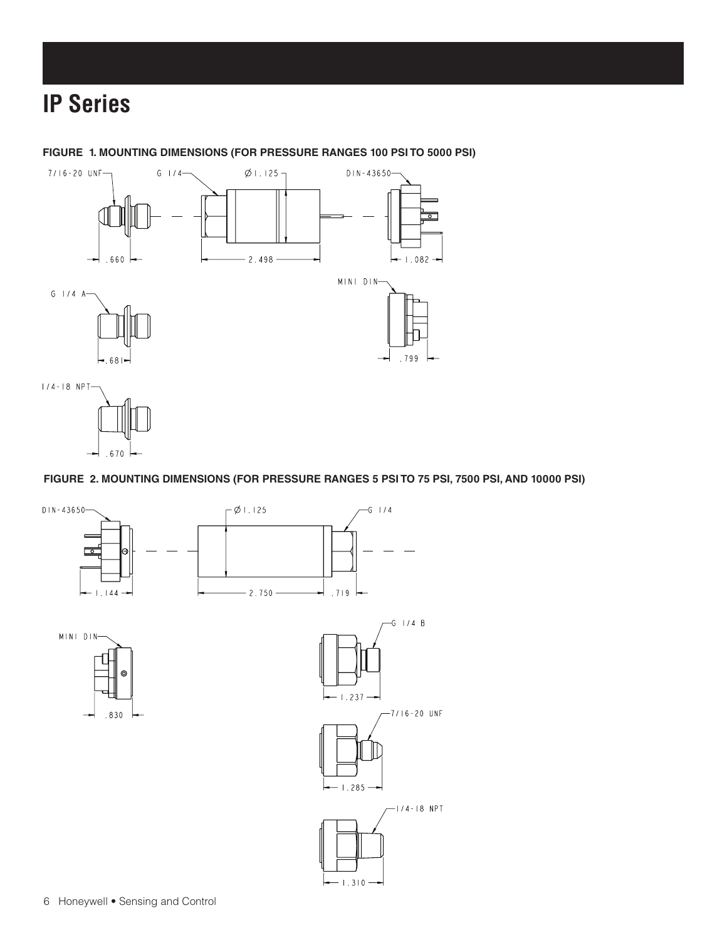### **IP Series**

**FIGURE 1. MOUNTING DIMENSIONS (FOR PRESSURE RANGES 100 PSI TO 5000 PSI)**



 $.670$